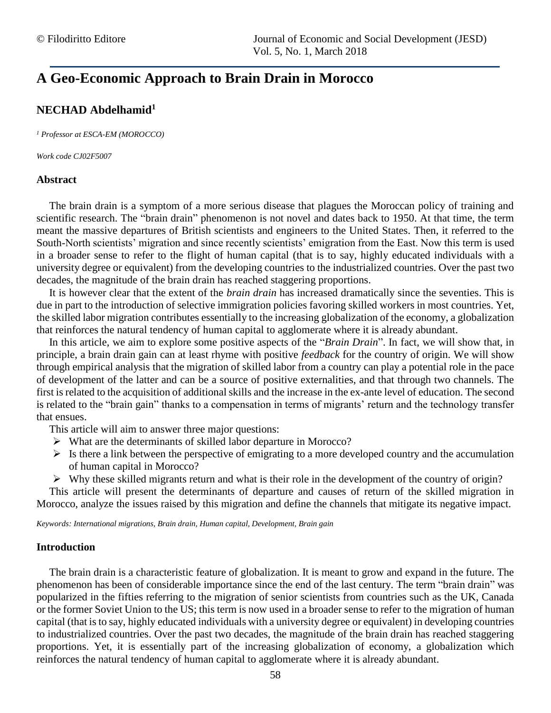# **A Geo-Economic Approach to Brain Drain in Morocco**

# **NECHAD Abdelhamid<sup>1</sup>**

*<sup>1</sup> Professor at ESCA-EM (MOROCCO)*

*Work code CJ02F5007*

#### **Abstract**

The brain drain is a symptom of a more serious disease that plagues the Moroccan policy of training and scientific research. The "brain drain" phenomenon is not novel and dates back to 1950. At that time, the term meant the massive departures of British scientists and engineers to the United States. Then, it referred to the South-North scientists' migration and since recently scientists' emigration from the East. Now this term is used in a broader sense to refer to the flight of human capital (that is to say, highly educated individuals with a university degree or equivalent) from the developing countries to the industrialized countries. Over the past two decades, the magnitude of the brain drain has reached staggering proportions.

It is however clear that the extent of the *brain drain* has increased dramatically since the seventies. This is due in part to the introduction of selective immigration policies favoring skilled workers in most countries. Yet, the skilled labor migration contributes essentially to the increasing globalization of the economy, a globalization that reinforces the natural tendency of human capital to agglomerate where it is already abundant.

In this article, we aim to explore some positive aspects of the "*Brain Drain*". In fact, we will show that, in principle, a brain drain gain can at least rhyme with positive *feedback* for the country of origin. We will show through empirical analysis that the migration of skilled labor from a country can play a potential role in the pace of development of the latter and can be a source of positive externalities, and that through two channels. The first is related to the acquisition of additional skills and the increase in the ex-ante level of education. The second is related to the "brain gain" thanks to a compensation in terms of migrants' return and the technology transfer that ensues.

This article will aim to answer three major questions:

- ➢ What are the determinants of skilled labor departure in Morocco?
- $\triangleright$  Is there a link between the perspective of emigrating to a more developed country and the accumulation of human capital in Morocco?
- $\triangleright$  Why these skilled migrants return and what is their role in the development of the country of origin?

This article will present the determinants of departure and causes of return of the skilled migration in Morocco, analyze the issues raised by this migration and define the channels that mitigate its negative impact.

*Keywords: International migrations, Brain drain, Human capital, Development, Brain gain*

#### **Introduction**

The brain drain is a characteristic feature of globalization. It is meant to grow and expand in the future. The phenomenon has been of considerable importance since the end of the last century. The term "brain drain" was popularized in the fifties referring to the migration of senior scientists from countries such as the UK, Canada or the former Soviet Union to the US; this term is now used in a broader sense to refer to the migration of human capital (that is to say, highly educated individuals with a university degree or equivalent) in developing countries to industrialized countries. Over the past two decades, the magnitude of the brain drain has reached staggering proportions. Yet, it is essentially part of the increasing globalization of economy, a globalization which reinforces the natural tendency of human capital to agglomerate where it is already abundant.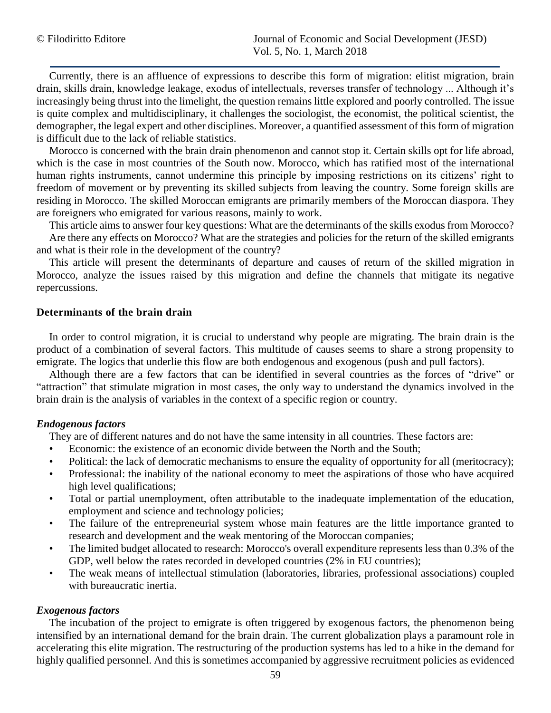Currently, there is an affluence of expressions to describe this form of migration: elitist migration, brain drain, skills drain, knowledge leakage, exodus of intellectuals, reverses transfer of technology ... Although it's increasingly being thrust into the limelight, the question remains little explored and poorly controlled. The issue is quite complex and multidisciplinary, it challenges the sociologist, the economist, the political scientist, the demographer, the legal expert and other disciplines. Moreover, a quantified assessment of this form of migration is difficult due to the lack of reliable statistics.

Morocco is concerned with the brain drain phenomenon and cannot stop it. Certain skills opt for life abroad, which is the case in most countries of the South now. Morocco, which has ratified most of the international human rights instruments, cannot undermine this principle by imposing restrictions on its citizens' right to freedom of movement or by preventing its skilled subjects from leaving the country. Some foreign skills are residing in Morocco. The skilled Moroccan emigrants are primarily members of the Moroccan diaspora. They are foreigners who emigrated for various reasons, mainly to work.

This article aims to answer four key questions: What are the determinants of the skills exodus from Morocco? Are there any effects on Morocco? What are the strategies and policies for the return of the skilled emigrants and what is their role in the development of the country?

This article will present the determinants of departure and causes of return of the skilled migration in Morocco, analyze the issues raised by this migration and define the channels that mitigate its negative repercussions.

# **Determinants of the brain drain**

In order to control migration, it is crucial to understand why people are migrating. The brain drain is the product of a combination of several factors. This multitude of causes seems to share a strong propensity to emigrate. The logics that underlie this flow are both endogenous and exogenous (push and pull factors).

Although there are a few factors that can be identified in several countries as the forces of "drive" or "attraction" that stimulate migration in most cases, the only way to understand the dynamics involved in the brain drain is the analysis of variables in the context of a specific region or country.

# *Endogenous factors*

They are of different natures and do not have the same intensity in all countries. These factors are:

- Economic: the existence of an economic divide between the North and the South;
- Political: the lack of democratic mechanisms to ensure the equality of opportunity for all (meritocracy);
- Professional: the inability of the national economy to meet the aspirations of those who have acquired high level qualifications;
- Total or partial unemployment, often attributable to the inadequate implementation of the education, employment and science and technology policies;
- The failure of the entrepreneurial system whose main features are the little importance granted to research and development and the weak mentoring of the Moroccan companies;
- The limited budget allocated to research: Morocco's overall expenditure represents less than 0.3% of the GDP, well below the rates recorded in developed countries (2% in EU countries);
- The weak means of intellectual stimulation (laboratories, libraries, professional associations) coupled with bureaucratic inertia.

# *Exogenous factors*

The incubation of the project to emigrate is often triggered by exogenous factors, the phenomenon being intensified by an international demand for the brain drain. The current globalization plays a paramount role in accelerating this elite migration. The restructuring of the production systems has led to a hike in the demand for highly qualified personnel. And this is sometimes accompanied by aggressive recruitment policies as evidenced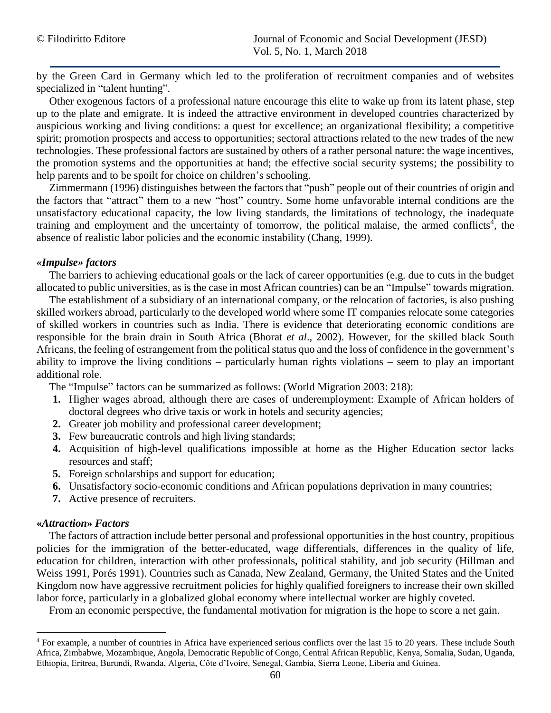by the Green Card in Germany which led to the proliferation of recruitment companies and of websites specialized in "talent hunting".

Other exogenous factors of a professional nature encourage this elite to wake up from its latent phase, step up to the plate and emigrate. It is indeed the attractive environment in developed countries characterized by auspicious working and living conditions: a quest for excellence; an organizational flexibility; a competitive spirit; promotion prospects and access to opportunities; sectoral attractions related to the new trades of the new technologies. These professional factors are sustained by others of a rather personal nature: the wage incentives, the promotion systems and the opportunities at hand; the effective social security systems; the possibility to help parents and to be spoilt for choice on children's schooling.

Zimmermann (1996) distinguishes between the factors that "push" people out of their countries of origin and the factors that "attract" them to a new "host" country. Some home unfavorable internal conditions are the unsatisfactory educational capacity, the low living standards, the limitations of technology, the inadequate training and employment and the uncertainty of tomorrow, the political malaise, the armed conflicts<sup>4</sup>, the absence of realistic labor policies and the economic instability (Chang, 1999).

# *«Impulse» factors*

The barriers to achieving educational goals or the lack of career opportunities (e.g. due to cuts in the budget allocated to public universities, as is the case in most African countries) can be an "Impulse" towards migration.

The establishment of a subsidiary of an international company, or the relocation of factories, is also pushing skilled workers abroad, particularly to the developed world where some IT companies relocate some categories of skilled workers in countries such as India. There is evidence that deteriorating economic conditions are responsible for the brain drain in South Africa (Bhorat *et al*., 2002). However, for the skilled black South Africans, the feeling of estrangement from the political status quo and the loss of confidence in the government's ability to improve the living conditions – particularly human rights violations – seem to play an important additional role.

The "Impulse" factors can be summarized as follows: (World Migration 2003: 218):

- **1.** Higher wages abroad, although there are cases of underemployment: Example of African holders of doctoral degrees who drive taxis or work in hotels and security agencies;
- **2.** Greater job mobility and professional career development;
- **3.** Few bureaucratic controls and high living standards;
- **4.** Acquisition of high-level qualifications impossible at home as the Higher Education sector lacks resources and staff;
- **5.** Foreign scholarships and support for education;
- **6.** Unsatisfactory socio-economic conditions and African populations deprivation in many countries;
- **7.** Active presence of recruiters.

# **«***Attraction***»** *Factors*

 $\overline{a}$ 

The factors of attraction include better personal and professional opportunities in the host country, propitious policies for the immigration of the better-educated, wage differentials, differences in the quality of life, education for children, interaction with other professionals, political stability, and job security (Hillman and Weiss 1991, Porés 1991). Countries such as Canada, New Zealand, Germany, the United States and the United Kingdom now have aggressive recruitment policies for highly qualified foreigners to increase their own skilled labor force, particularly in a globalized global economy where intellectual worker are highly coveted.

From an economic perspective, the fundamental motivation for migration is the hope to score a net gain.

<sup>&</sup>lt;sup>4</sup> For example, a number of countries in Africa have experienced serious conflicts over the last 15 to 20 years. These include South Africa, Zimbabwe, Mozambique, Angola, Democratic Republic of Congo, Central African Republic, Kenya, Somalia, Sudan, Uganda, Ethiopia, Eritrea, Burundi, Rwanda, Algeria, Côte d'Ivoire, Senegal, Gambia, Sierra Leone, Liberia and Guinea.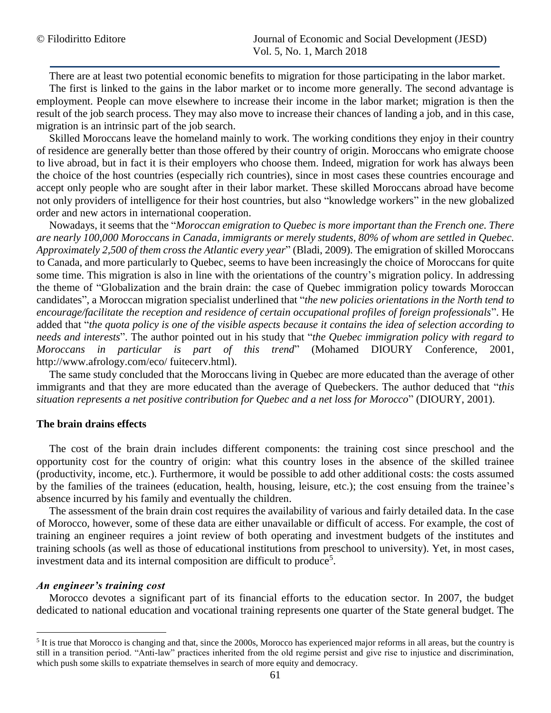There are at least two potential economic benefits to migration for those participating in the labor market.

The first is linked to the gains in the labor market or to income more generally. The second advantage is employment. People can move elsewhere to increase their income in the labor market; migration is then the result of the job search process. They may also move to increase their chances of landing a job, and in this case, migration is an intrinsic part of the job search.

Skilled Moroccans leave the homeland mainly to work. The working conditions they enjoy in their country of residence are generally better than those offered by their country of origin. Moroccans who emigrate choose to live abroad, but in fact it is their employers who choose them. Indeed, migration for work has always been the choice of the host countries (especially rich countries), since in most cases these countries encourage and accept only people who are sought after in their labor market. These skilled Moroccans abroad have become not only providers of intelligence for their host countries, but also "knowledge workers" in the new globalized order and new actors in international cooperation.

Nowadays, it seems that the "*Moroccan emigration to Quebec is more important than the French one. There are nearly 100,000 Moroccans in Canada, immigrants or merely students, 80% of whom are settled in Quebec. Approximately 2,500 of them cross the Atlantic every year*" (Bladi, 2009). The emigration of skilled Moroccans to Canada, and more particularly to Quebec, seems to have been increasingly the choice of Moroccans for quite some time. This migration is also in line with the orientations of the country's migration policy. In addressing the theme of "Globalization and the brain drain: the case of Quebec immigration policy towards Moroccan candidates", a Moroccan migration specialist underlined that "*the new policies orientations in the North tend to encourage/facilitate the reception and residence of certain occupational profiles of foreign professionals*". He added that "*the quota policy is one of the visible aspects because it contains the idea of selection according to needs and interests*". The author pointed out in his study that "*the Quebec immigration policy with regard to Moroccans in particular is part of this trend*" (Mohamed DIOURY Conference, 2001, http://www.afrology.com/eco/ fuitecerv.html).

The same study concluded that the Moroccans living in Quebec are more educated than the average of other immigrants and that they are more educated than the average of Quebeckers. The author deduced that "*this situation represents a net positive contribution for Quebec and a net loss for Morocco*" (DIOURY, 2001).

#### **The brain drains effects**

The cost of the brain drain includes different components: the training cost since preschool and the opportunity cost for the country of origin: what this country loses in the absence of the skilled trainee (productivity, income, etc.). Furthermore, it would be possible to add other additional costs: the costs assumed by the families of the trainees (education, health, housing, leisure, etc.); the cost ensuing from the trainee's absence incurred by his family and eventually the children.

The assessment of the brain drain cost requires the availability of various and fairly detailed data. In the case of Morocco, however, some of these data are either unavailable or difficult of access. For example, the cost of training an engineer requires a joint review of both operating and investment budgets of the institutes and training schools (as well as those of educational institutions from preschool to university). Yet, in most cases, investment data and its internal composition are difficult to produce<sup>5</sup>.

#### *An engineer's training cost*

 $\overline{a}$ 

Morocco devotes a significant part of its financial efforts to the education sector. In 2007, the budget dedicated to national education and vocational training represents one quarter of the State general budget. The

<sup>&</sup>lt;sup>5</sup> It is true that Morocco is changing and that, since the 2000s, Morocco has experienced major reforms in all areas, but the country is still in a transition period. "Anti-law" practices inherited from the old regime persist and give rise to injustice and discrimination, which push some skills to expatriate themselves in search of more equity and democracy.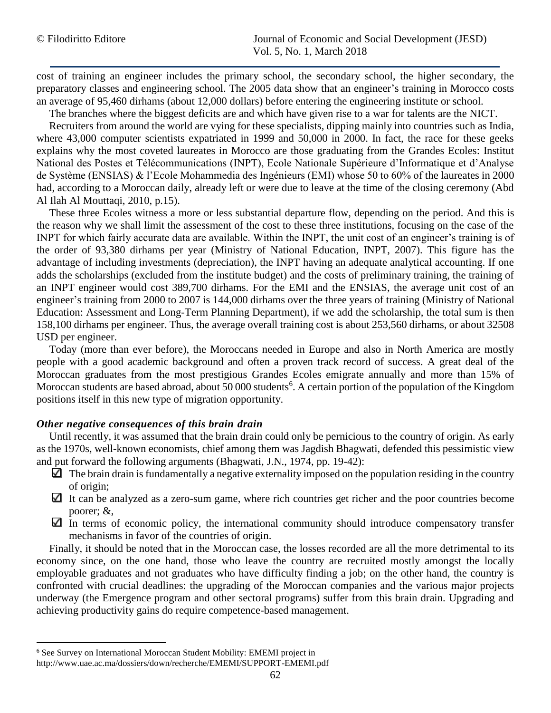cost of training an engineer includes the primary school, the secondary school, the higher secondary, the preparatory classes and engineering school. The 2005 data show that an engineer's training in Morocco costs an average of 95,460 dirhams (about 12,000 dollars) before entering the engineering institute or school.

The branches where the biggest deficits are and which have given rise to a war for talents are the NICT.

Recruiters from around the world are vying for these specialists, dipping mainly into countries such as India, where 43,000 computer scientists expatriated in 1999 and 50,000 in 2000. In fact, the race for these geeks explains why the most coveted laureates in Morocco are those graduating from the Grandes Ecoles: Institut National des Postes et Télécommunications (INPT), Ecole Nationale Supérieure d'Informatique et d'Analyse de Système (ENSIAS) & l'Ecole Mohammedia des Ingénieurs (EMI) whose 50 to 60% of the laureates in 2000 had, according to a Moroccan daily, already left or were due to leave at the time of the closing ceremony (Abd Al Ilah Al Mouttaqi, 2010, p.15).

These three Ecoles witness a more or less substantial departure flow, depending on the period. And this is the reason why we shall limit the assessment of the cost to these three institutions, focusing on the case of the INPT for which fairly accurate data are available. Within the INPT, the unit cost of an engineer's training is of the order of 93,380 dirhams per year (Ministry of National Education, INPT, 2007). This figure has the advantage of including investments (depreciation), the INPT having an adequate analytical accounting. If one adds the scholarships (excluded from the institute budget) and the costs of preliminary training, the training of an INPT engineer would cost 389,700 dirhams. For the EMI and the ENSIAS, the average unit cost of an engineer's training from 2000 to 2007 is 144,000 dirhams over the three years of training (Ministry of National Education: Assessment and Long-Term Planning Department), if we add the scholarship, the total sum is then 158,100 dirhams per engineer. Thus, the average overall training cost is about 253,560 dirhams, or about 32508 USD per engineer.

Today (more than ever before), the Moroccans needed in Europe and also in North America are mostly people with a good academic background and often a proven track record of success. A great deal of the Moroccan graduates from the most prestigious Grandes Ecoles emigrate annually and more than 15% of Moroccan students are based abroad, about 50 000 students<sup>6</sup>. A certain portion of the population of the Kingdom positions itself in this new type of migration opportunity.

#### *Other negative consequences of this brain drain*

Until recently, it was assumed that the brain drain could only be pernicious to the country of origin. As early as the 1970s, well-known economists, chief among them was Jagdish Bhagwati, defended this pessimistic view and put forward the following arguments (Bhagwati, J.N., 1974, pp. 19-42):

- $\Box$  The brain drain is fundamentally a negative externality imposed on the population residing in the country of origin;
- $\Box$  It can be analyzed as a zero-sum game, where rich countries get richer and the poor countries become poorer; &,
- $\Box$  In terms of economic policy, the international community should introduce compensatory transfer mechanisms in favor of the countries of origin.

Finally, it should be noted that in the Moroccan case, the losses recorded are all the more detrimental to its economy since, on the one hand, those who leave the country are recruited mostly amongst the locally employable graduates and not graduates who have difficulty finding a job; on the other hand, the country is confronted with crucial deadlines: the upgrading of the Moroccan companies and the various major projects underway (the Emergence program and other sectoral programs) suffer from this brain drain. Upgrading and achieving productivity gains do require competence-based management.

l

<sup>6</sup> See Survey on International Moroccan Student Mobility: EMEMI project in

http://www.uae.ac.ma/dossiers/down/recherche/EMEMI/SUPPORT-EMEMI.pdf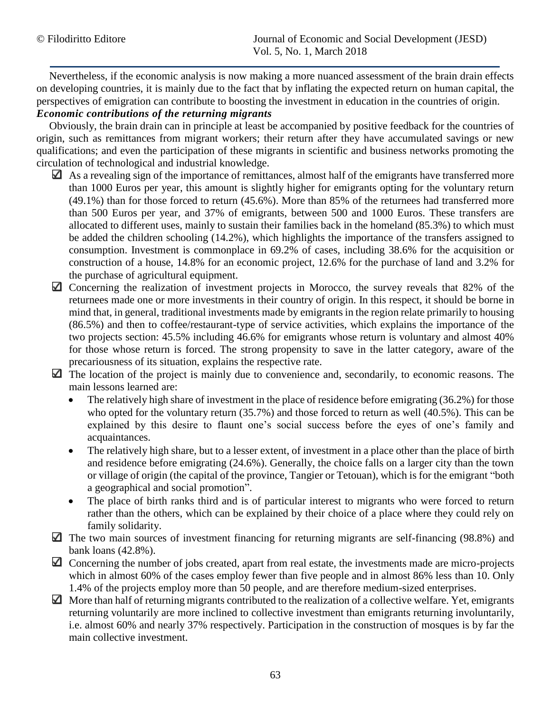Nevertheless, if the economic analysis is now making a more nuanced assessment of the brain drain effects on developing countries, it is mainly due to the fact that by inflating the expected return on human capital, the perspectives of emigration can contribute to boosting the investment in education in the countries of origin.

# *Economic contributions of the returning migrants*

Obviously, the brain drain can in principle at least be accompanied by positive feedback for the countries of origin, such as remittances from migrant workers; their return after they have accumulated savings or new qualifications; and even the participation of these migrants in scientific and business networks promoting the circulation of technological and industrial knowledge.

- $\Box$  As a revealing sign of the importance of remittances, almost half of the emigrants have transferred more than 1000 Euros per year, this amount is slightly higher for emigrants opting for the voluntary return (49.1%) than for those forced to return (45.6%). More than 85% of the returnees had transferred more than 500 Euros per year, and 37% of emigrants, between 500 and 1000 Euros. These transfers are allocated to different uses, mainly to sustain their families back in the homeland (85.3%) to which must be added the children schooling (14.2%), which highlights the importance of the transfers assigned to consumption. Investment is commonplace in 69.2% of cases, including 38.6% for the acquisition or construction of a house, 14.8% for an economic project, 12.6% for the purchase of land and 3.2% for the purchase of agricultural equipment.
- $\Box$  Concerning the realization of investment projects in Morocco, the survey reveals that 82% of the returnees made one or more investments in their country of origin. In this respect, it should be borne in mind that, in general, traditional investments made by emigrants in the region relate primarily to housing (86.5%) and then to coffee/restaurant-type of service activities, which explains the importance of the two projects section: 45.5% including 46.6% for emigrants whose return is voluntary and almost 40% for those whose return is forced. The strong propensity to save in the latter category, aware of the precariousness of its situation, explains the respective rate.
- $\Box$  The location of the project is mainly due to convenience and, secondarily, to economic reasons. The main lessons learned are:
	- The relatively high share of investment in the place of residence before emigrating (36.2%) for those who opted for the voluntary return (35.7%) and those forced to return as well (40.5%). This can be explained by this desire to flaunt one's social success before the eyes of one's family and acquaintances.
	- The relatively high share, but to a lesser extent, of investment in a place other than the place of birth and residence before emigrating (24.6%). Generally, the choice falls on a larger city than the town or village of origin (the capital of the province, Tangier or Tetouan), which is for the emigrant "both a geographical and social promotion".
	- The place of birth ranks third and is of particular interest to migrants who were forced to return rather than the others, which can be explained by their choice of a place where they could rely on family solidarity.
- $\Box$  The two main sources of investment financing for returning migrants are self-financing (98.8%) and bank loans (42.8%).
- Concerning the number of jobs created, apart from real estate, the investments made are micro-projects which in almost 60% of the cases employ fewer than five people and in almost 86% less than 10. Only 1.4% of the projects employ more than 50 people, and are therefore medium-sized enterprises.
- $\Box$  More than half of returning migrants contributed to the realization of a collective welfare. Yet, emigrants returning voluntarily are more inclined to collective investment than emigrants returning involuntarily, i.e. almost 60% and nearly 37% respectively. Participation in the construction of mosques is by far the main collective investment.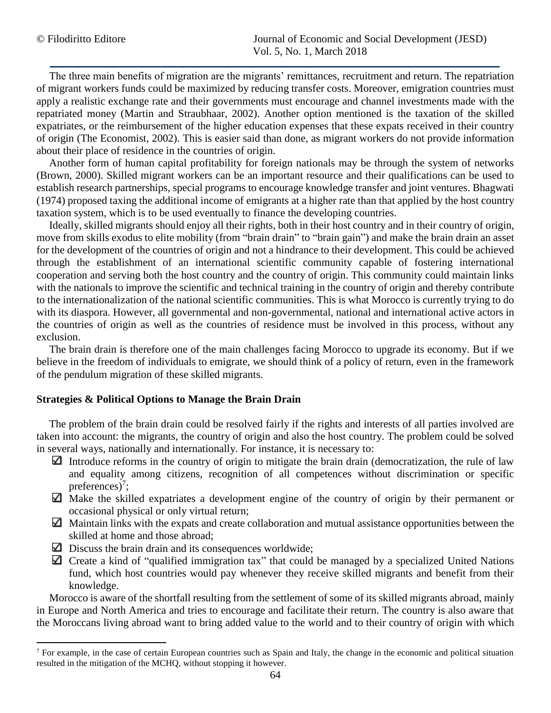l

The three main benefits of migration are the migrants' remittances, recruitment and return. The repatriation of migrant workers funds could be maximized by reducing transfer costs. Moreover, emigration countries must apply a realistic exchange rate and their governments must encourage and channel investments made with the repatriated money (Martin and Straubhaar, 2002). Another option mentioned is the taxation of the skilled expatriates, or the reimbursement of the higher education expenses that these expats received in their country of origin (The Economist, 2002). This is easier said than done, as migrant workers do not provide information about their place of residence in the countries of origin.

Another form of human capital profitability for foreign nationals may be through the system of networks (Brown, 2000). Skilled migrant workers can be an important resource and their qualifications can be used to establish research partnerships, special programs to encourage knowledge transfer and joint ventures. Bhagwati (1974) proposed taxing the additional income of emigrants at a higher rate than that applied by the host country taxation system, which is to be used eventually to finance the developing countries.

Ideally, skilled migrants should enjoy all their rights, both in their host country and in their country of origin, move from skills exodus to elite mobility (from "brain drain" to "brain gain") and make the brain drain an asset for the development of the countries of origin and not a hindrance to their development. This could be achieved through the establishment of an international scientific community capable of fostering international cooperation and serving both the host country and the country of origin. This community could maintain links with the nationals to improve the scientific and technical training in the country of origin and thereby contribute to the internationalization of the national scientific communities. This is what Morocco is currently trying to do with its diaspora. However, all governmental and non-governmental, national and international active actors in the countries of origin as well as the countries of residence must be involved in this process, without any exclusion.

The brain drain is therefore one of the main challenges facing Morocco to upgrade its economy. But if we believe in the freedom of individuals to emigrate, we should think of a policy of return, even in the framework of the pendulum migration of these skilled migrants.

# **Strategies & Political Options to Manage the Brain Drain**

The problem of the brain drain could be resolved fairly if the rights and interests of all parties involved are taken into account: the migrants, the country of origin and also the host country. The problem could be solved in several ways, nationally and internationally. For instance, it is necessary to:

- Introduce reforms in the country of origin to mitigate the brain drain (democratization, the rule of law and equality among citizens, recognition of all competences without discrimination or specific preferences $)^7$ ;
- $\Box$  Make the skilled expatriates a development engine of the country of origin by their permanent or occasional physical or only virtual return;
- Maintain links with the expats and create collaboration and mutual assistance opportunities between the skilled at home and those abroad;
- $\Box$  Discuss the brain drain and its consequences worldwide;
- $\Box$  Create a kind of "qualified immigration tax" that could be managed by a specialized United Nations fund, which host countries would pay whenever they receive skilled migrants and benefit from their knowledge.

Morocco is aware of the shortfall resulting from the settlement of some of its skilled migrants abroad, mainly in Europe and North America and tries to encourage and facilitate their return. The country is also aware that the Moroccans living abroad want to bring added value to the world and to their country of origin with which

 $<sup>7</sup>$  For example, in the case of certain European countries such as Spain and Italy, the change in the economic and political situation</sup> resulted in the mitigation of the MCHQ, without stopping it however.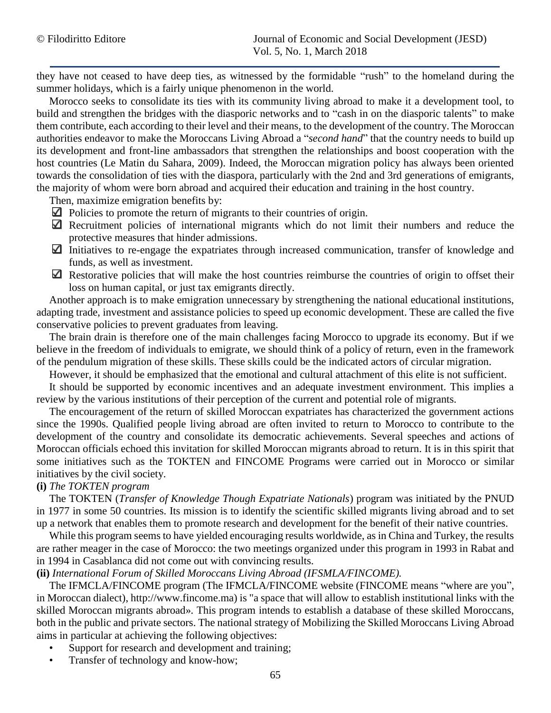they have not ceased to have deep ties, as witnessed by the formidable "rush" to the homeland during the summer holidays, which is a fairly unique phenomenon in the world.

Morocco seeks to consolidate its ties with its community living abroad to make it a development tool, to build and strengthen the bridges with the diasporic networks and to "cash in on the diasporic talents" to make them contribute, each according to their level and their means, to the development of the country. The Moroccan authorities endeavor to make the Moroccans Living Abroad a "*second hand*" that the country needs to build up its development and front-line ambassadors that strengthen the relationships and boost cooperation with the host countries (Le Matin du Sahara, 2009). Indeed, the Moroccan migration policy has always been oriented towards the consolidation of ties with the diaspora, particularly with the 2nd and 3rd generations of emigrants, the majority of whom were born abroad and acquired their education and training in the host country.

Then, maximize emigration benefits by:

- $\Box$  Policies to promote the return of migrants to their countries of origin.
- $\Box$  Recruitment policies of international migrants which do not limit their numbers and reduce the protective measures that hinder admissions.
- $\Box$  Initiatives to re-engage the expatriates through increased communication, transfer of knowledge and funds, as well as investment.
- $\Box$  Restorative policies that will make the host countries reimburse the countries of origin to offset their loss on human capital, or just tax emigrants directly.

Another approach is to make emigration unnecessary by strengthening the national educational institutions, adapting trade, investment and assistance policies to speed up economic development. These are called the five conservative policies to prevent graduates from leaving.

The brain drain is therefore one of the main challenges facing Morocco to upgrade its economy. But if we believe in the freedom of individuals to emigrate, we should think of a policy of return, even in the framework of the pendulum migration of these skills. These skills could be the indicated actors of circular migration.

However, it should be emphasized that the emotional and cultural attachment of this elite is not sufficient.

It should be supported by economic incentives and an adequate investment environment. This implies a review by the various institutions of their perception of the current and potential role of migrants.

The encouragement of the return of skilled Moroccan expatriates has characterized the government actions since the 1990s. Qualified people living abroad are often invited to return to Morocco to contribute to the development of the country and consolidate its democratic achievements. Several speeches and actions of Moroccan officials echoed this invitation for skilled Moroccan migrants abroad to return. It is in this spirit that some initiatives such as the TOKTEN and FINCOME Programs were carried out in Morocco or similar initiatives by the civil society.

# **(i)** *The TOKTEN program*

The TOKTEN (*Transfer of Knowledge Though Expatriate Nationals*) program was initiated by the PNUD in 1977 in some 50 countries. Its mission is to identify the scientific skilled migrants living abroad and to set up a network that enables them to promote research and development for the benefit of their native countries.

While this program seems to have yielded encouraging results worldwide, as in China and Turkey, the results are rather meager in the case of Morocco: the two meetings organized under this program in 1993 in Rabat and in 1994 in Casablanca did not come out with convincing results.

# **(ii)** *International Forum of Skilled Moroccans Living Abroad (IFSMLA/FINCOME).*

The IFMCLA/FINCOME program (The IFMCLA/FINCOME website (FINCOME means "where are you", in Moroccan dialect), http://www.fincome.ma) is "a space that will allow to establish institutional links with the skilled Moroccan migrants abroad». This program intends to establish a database of these skilled Moroccans, both in the public and private sectors. The national strategy of Mobilizing the Skilled Moroccans Living Abroad aims in particular at achieving the following objectives:

- Support for research and development and training;
- Transfer of technology and know-how;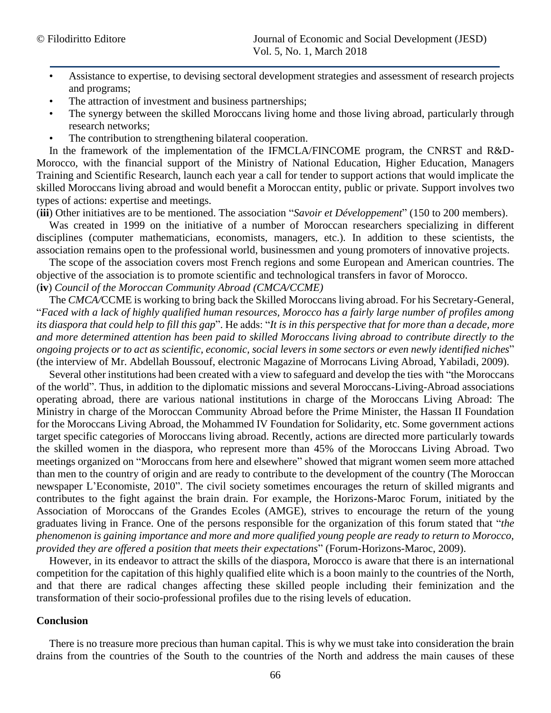- Assistance to expertise, to devising sectoral development strategies and assessment of research projects and programs;
- The attraction of investment and business partnerships;
- The synergy between the skilled Moroccans living home and those living abroad, particularly through research networks;
- The contribution to strengthening bilateral cooperation.

In the framework of the implementation of the IFMCLA/FINCOME program, the CNRST and R&D-Morocco, with the financial support of the Ministry of National Education, Higher Education, Managers Training and Scientific Research, launch each year a call for tender to support actions that would implicate the skilled Moroccans living abroad and would benefit a Moroccan entity, public or private. Support involves two types of actions: expertise and meetings.

(**iii**) Other initiatives are to be mentioned. The association "*Savoir et Développement*" (150 to 200 members).

Was created in 1999 on the initiative of a number of Moroccan researchers specializing in different disciplines (computer mathematicians, economists, managers, etc.). In addition to these scientists, the association remains open to the professional world, businessmen and young promoters of innovative projects.

The scope of the association covers most French regions and some European and American countries. The objective of the association is to promote scientific and technological transfers in favor of Morocco. (**iv**) *Council of the Moroccan Community Abroad (CMCA/CCME)*

The *CMCA/*CCME is working to bring back the Skilled Moroccans living abroad. For his Secretary-General, "*Faced with a lack of highly qualified human resources, Morocco has a fairly large number of profiles among its diaspora that could help to fill this gap*". He adds: "*It is in this perspective that for more than a decade, more and more determined attention has been paid to skilled Moroccans living abroad to contribute directly to the ongoing projects or to act as scientific, economic, social levers in some sectors or even newly identified niches*" (the interview of Mr. Abdellah Boussouf, electronic Magazine of Morrocans Living Abroad, Yabiladi, 2009).

Several other institutions had been created with a view to safeguard and develop the ties with "the Moroccans of the world". Thus, in addition to the diplomatic missions and several Moroccans-Living-Abroad associations operating abroad, there are various national institutions in charge of the Moroccans Living Abroad: The Ministry in charge of the Moroccan Community Abroad before the Prime Minister, the Hassan II Foundation for the Moroccans Living Abroad, the Mohammed IV Foundation for Solidarity, etc. Some government actions target specific categories of Moroccans living abroad. Recently, actions are directed more particularly towards the skilled women in the diaspora, who represent more than 45% of the Moroccans Living Abroad. Two meetings organized on "Moroccans from here and elsewhere" showed that migrant women seem more attached than men to the country of origin and are ready to contribute to the development of the country (The Moroccan newspaper L'Economiste, 2010". The civil society sometimes encourages the return of skilled migrants and contributes to the fight against the brain drain. For example, the Horizons-Maroc Forum, initiated by the Association of Moroccans of the Grandes Ecoles (AMGE), strives to encourage the return of the young graduates living in France. One of the persons responsible for the organization of this forum stated that "*the phenomenon is gaining importance and more and more qualified young people are ready to return to Morocco, provided they are offered a position that meets their expectations*" (Forum-Horizons-Maroc, 2009).

However, in its endeavor to attract the skills of the diaspora, Morocco is aware that there is an international competition for the capitation of this highly qualified elite which is a boon mainly to the countries of the North, and that there are radical changes affecting these skilled people including their feminization and the transformation of their socio-professional profiles due to the rising levels of education.

# **Conclusion**

There is no treasure more precious than human capital. This is why we must take into consideration the brain drains from the countries of the South to the countries of the North and address the main causes of these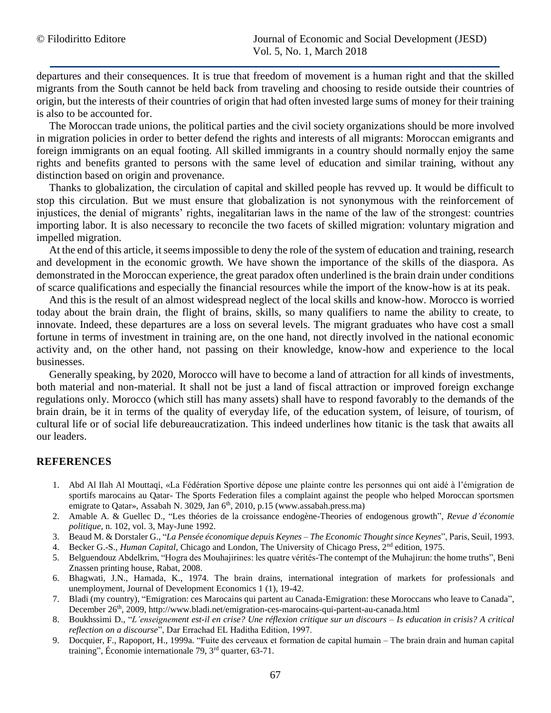departures and their consequences. It is true that freedom of movement is a human right and that the skilled migrants from the South cannot be held back from traveling and choosing to reside outside their countries of origin, but the interests of their countries of origin that had often invested large sums of money for their training is also to be accounted for.

The Moroccan trade unions, the political parties and the civil society organizations should be more involved in migration policies in order to better defend the rights and interests of all migrants: Moroccan emigrants and foreign immigrants on an equal footing. All skilled immigrants in a country should normally enjoy the same rights and benefits granted to persons with the same level of education and similar training, without any distinction based on origin and provenance.

Thanks to globalization, the circulation of capital and skilled people has revved up. It would be difficult to stop this circulation. But we must ensure that globalization is not synonymous with the reinforcement of injustices, the denial of migrants' rights, inegalitarian laws in the name of the law of the strongest: countries importing labor. It is also necessary to reconcile the two facets of skilled migration: voluntary migration and impelled migration.

At the end of this article, it seems impossible to deny the role of the system of education and training, research and development in the economic growth. We have shown the importance of the skills of the diaspora. As demonstrated in the Moroccan experience, the great paradox often underlined is the brain drain under conditions of scarce qualifications and especially the financial resources while the import of the know-how is at its peak.

And this is the result of an almost widespread neglect of the local skills and know-how. Morocco is worried today about the brain drain, the flight of brains, skills, so many qualifiers to name the ability to create, to innovate. Indeed, these departures are a loss on several levels. The migrant graduates who have cost a small fortune in terms of investment in training are, on the one hand, not directly involved in the national economic activity and, on the other hand, not passing on their knowledge, know-how and experience to the local businesses.

Generally speaking, by 2020, Morocco will have to become a land of attraction for all kinds of investments, both material and non-material. It shall not be just a land of fiscal attraction or improved foreign exchange regulations only. Morocco (which still has many assets) shall have to respond favorably to the demands of the brain drain, be it in terms of the quality of everyday life, of the education system, of leisure, of tourism, of cultural life or of social life debureaucratization. This indeed underlines how titanic is the task that awaits all our leaders.

# **REFERENCES**

- 1. Abd Al Ilah Al Mouttaqi, «La Fédération Sportive dépose une plainte contre les personnes qui ont aidé à l'émigration de sportifs marocains au Qatar- The Sports Federation files a complaint against the people who helped Moroccan sportsmen emigrate to Qatar», Assabah N. 3029, Jan 6<sup>th</sup>, 2010, p.15 [\(www.assabah.press.ma\)](http://www.assabah.press.ma/)
- 2. Amable A. & Guellec D., "Les théories de la croissance endogène-Theories of endogenous growth", *Revue d'économie politique*, n. 102, vol. 3, May-June 1992.
- 3. Beaud M. & Dorstaler G., "*La Pensée économique depuis Keynes – The Economic Thought since Keynes*", Paris, Seuil, 1993.
- 4. Becker G.-S., *Human Capital*, Chicago and London, The University of Chicago Press, 2nd edition, 1975.
- 5. Belguendouz Abdelkrim, "Hogra des Mouhajirines: les quatre vérités-The contempt of the Muhajirun: the home truths", Beni Znassen printing house, Rabat, 2008.
- 6. Bhagwati, J.N., Hamada, K., 1974. The brain drains, international integration of markets for professionals and unemployment, Journal of Development Economics 1 (1), 19-42.
- 7. Bladi (my country), "Emigration: ces Marocains qui partent au Canada-Emigration: these Moroccans who leave to Canada", December 26<sup>th</sup>, 2009,<http://www.bladi.net/emigration-ces-marocains-qui-partent-au-canada.html>
- 8. Boukhssimi D., "*L'enseignement est-il en crise? Une réflexion critique sur un discours – Is education in crisis? A critical reflection on a discourse*", Dar Errachad EL Haditha Edition, 1997.
- 9. Docquier, F., Rapoport, H., 1999a. "Fuite des cerveaux et formation de capital humain *–* The brain drain and human capital training", Économie internationale 79, 3rd quarter, 63-71.